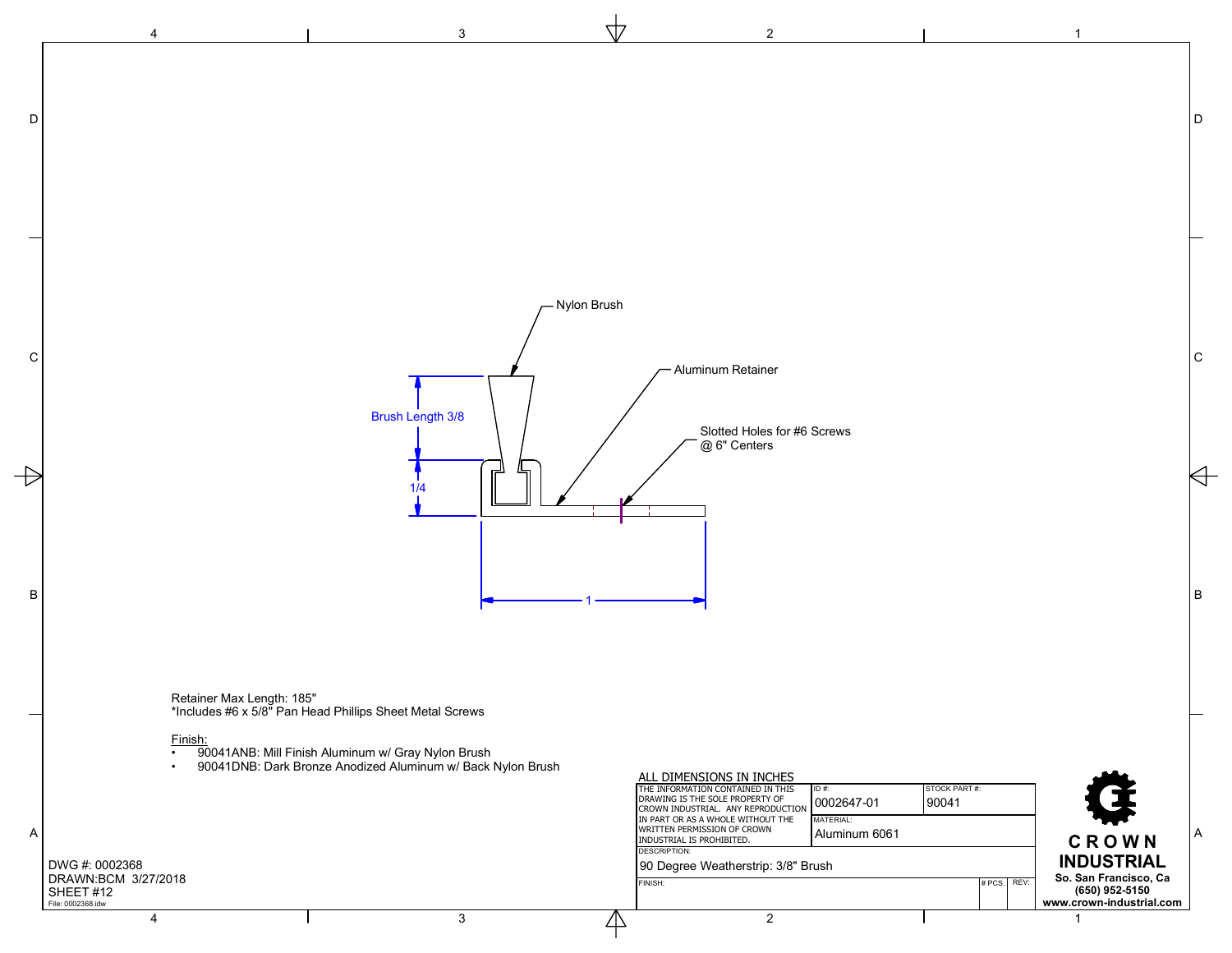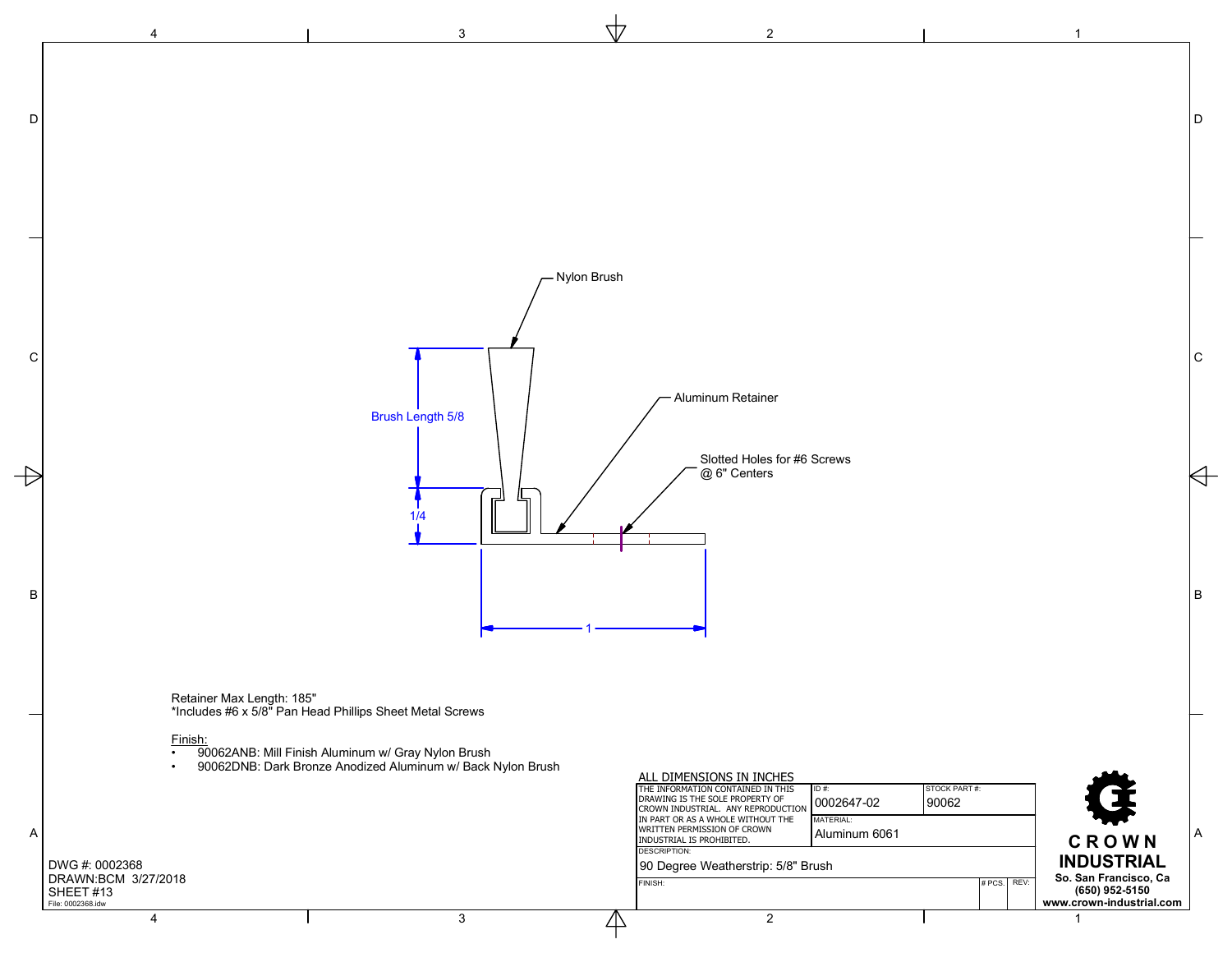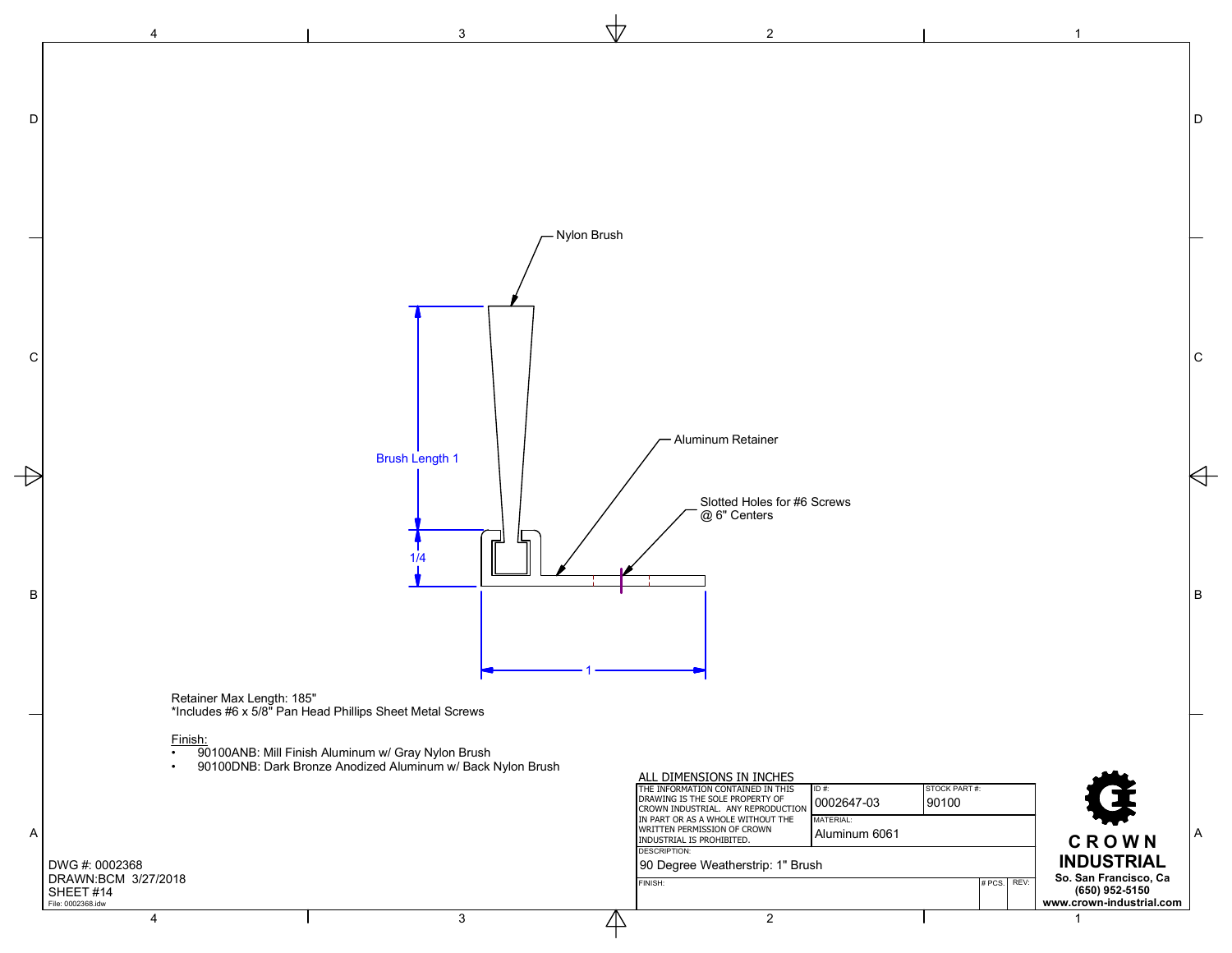